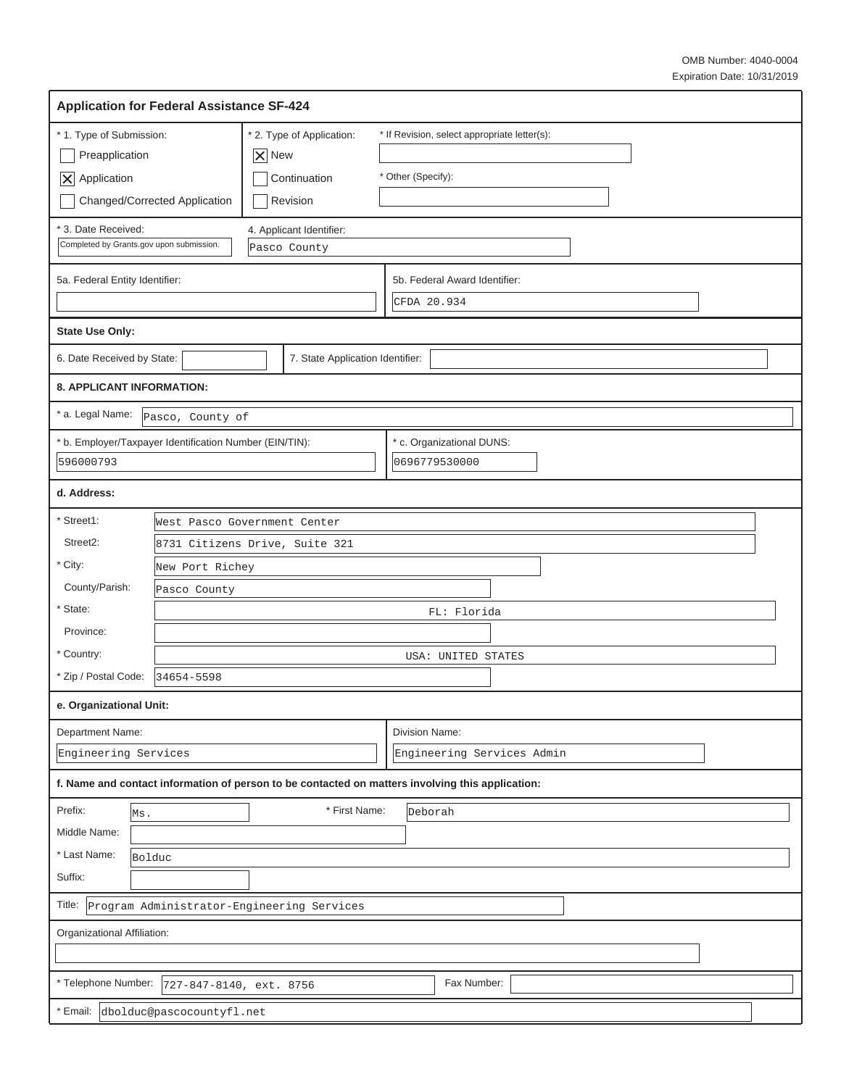| <b>Application for Federal Assistance SF-424</b>                                                                   |                                                                                                                  |                                                                             |                                              |                                                                                                  |  |  |  |  |  |  |  |
|--------------------------------------------------------------------------------------------------------------------|------------------------------------------------------------------------------------------------------------------|-----------------------------------------------------------------------------|----------------------------------------------|--------------------------------------------------------------------------------------------------|--|--|--|--|--|--|--|
| * 1. Type of Submission:<br>Preapplication<br>$ \mathsf{X} $ Application                                           | Changed/Corrected Application                                                                                    | * 2. Type of Application:<br>$ \mathsf{X} $ New<br>Continuation<br>Revision |                                              | * If Revision, select appropriate letter(s):<br>* Other (Specify):                               |  |  |  |  |  |  |  |
| 3. Date Received:<br>4. Applicant Identifier:<br>Completed by Grants.gov upon submission.<br>Pasco County          |                                                                                                                  |                                                                             |                                              |                                                                                                  |  |  |  |  |  |  |  |
| 5a. Federal Entity Identifier:                                                                                     |                                                                                                                  |                                                                             | 5b. Federal Award Identifier:<br>CFDA 20.934 |                                                                                                  |  |  |  |  |  |  |  |
| <b>State Use Only:</b>                                                                                             |                                                                                                                  |                                                                             |                                              |                                                                                                  |  |  |  |  |  |  |  |
| 6. Date Received by State:                                                                                         |                                                                                                                  | 7. State Application Identifier:                                            |                                              |                                                                                                  |  |  |  |  |  |  |  |
| <b>8. APPLICANT INFORMATION:</b>                                                                                   |                                                                                                                  |                                                                             |                                              |                                                                                                  |  |  |  |  |  |  |  |
| * a. Legal Name:                                                                                                   | Pasco, County of                                                                                                 |                                                                             |                                              |                                                                                                  |  |  |  |  |  |  |  |
| * c. Organizational DUNS:<br>* b. Employer/Taxpayer Identification Number (EIN/TIN):<br>596000793<br>0696779530000 |                                                                                                                  |                                                                             |                                              |                                                                                                  |  |  |  |  |  |  |  |
| d. Address:                                                                                                        |                                                                                                                  |                                                                             |                                              |                                                                                                  |  |  |  |  |  |  |  |
| * Street1:<br>Street2:<br>* City:<br>County/Parish:<br>* State:<br>Province:                                       | West Pasco Government Center<br>8731 Citizens Drive, Suite 321<br>New Port Richey<br>Pasco County<br>FL: Florida |                                                                             |                                              |                                                                                                  |  |  |  |  |  |  |  |
| * Country:<br>* Zip / Postal Code:                                                                                 | 34654-5598                                                                                                       |                                                                             |                                              | USA: UNITED STATES                                                                               |  |  |  |  |  |  |  |
| e. Organizational Unit:                                                                                            |                                                                                                                  |                                                                             |                                              |                                                                                                  |  |  |  |  |  |  |  |
| Department Name:<br>Engineering Services                                                                           |                                                                                                                  |                                                                             | Division Name:<br>Engineering Services Admin |                                                                                                  |  |  |  |  |  |  |  |
|                                                                                                                    |                                                                                                                  |                                                                             |                                              | f. Name and contact information of person to be contacted on matters involving this application: |  |  |  |  |  |  |  |
| Prefix:<br>Ms.<br>Middle Name:<br>* Last Name:<br>Bolduc<br>Suffix:                                                |                                                                                                                  | * First Name:                                                               |                                              | Deborah                                                                                          |  |  |  |  |  |  |  |
| Program Administrator-Engineering Services<br>Title:                                                               |                                                                                                                  |                                                                             |                                              |                                                                                                  |  |  |  |  |  |  |  |
| Organizational Affiliation:                                                                                        |                                                                                                                  |                                                                             |                                              |                                                                                                  |  |  |  |  |  |  |  |
| * Telephone Number:<br>Fax Number:<br>727-847-8140, ext. 8756                                                      |                                                                                                                  |                                                                             |                                              |                                                                                                  |  |  |  |  |  |  |  |
| Email:<br>dbolduc@pascocountyfl.net                                                                                |                                                                                                                  |                                                                             |                                              |                                                                                                  |  |  |  |  |  |  |  |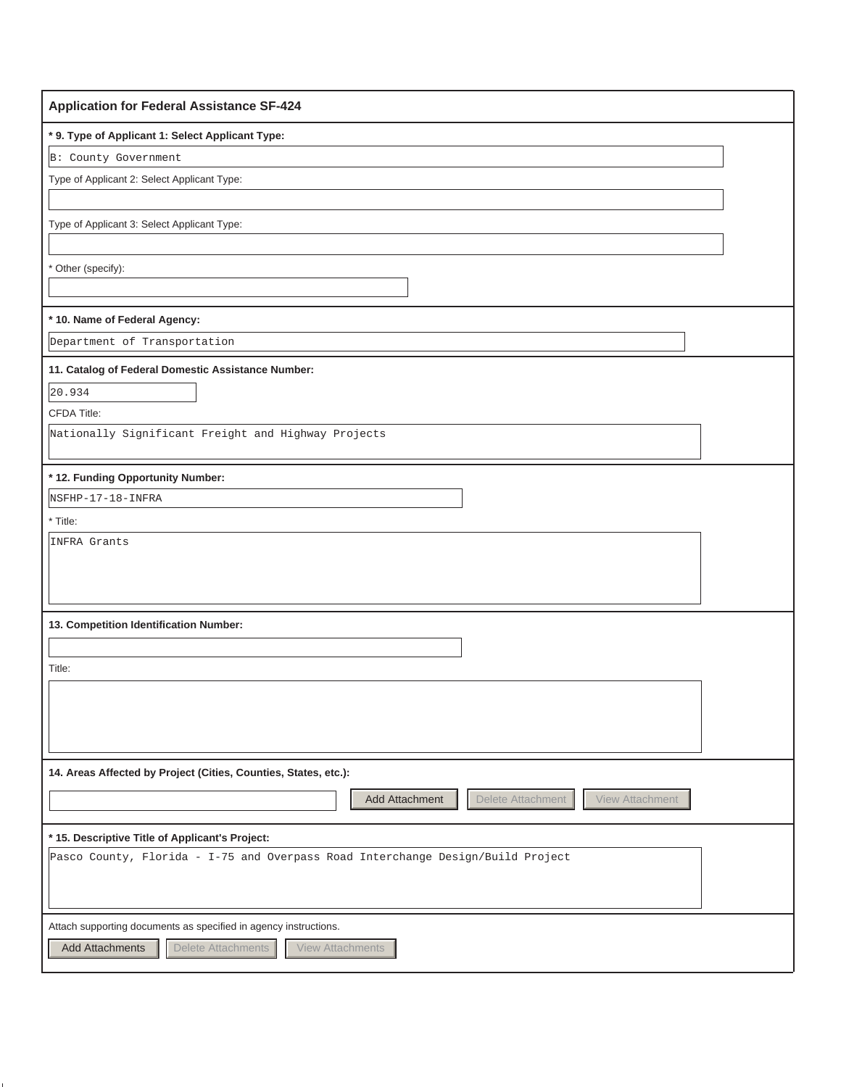| <b>Application for Federal Assistance SF-424</b>                                |
|---------------------------------------------------------------------------------|
| * 9. Type of Applicant 1: Select Applicant Type:                                |
| B: County Government                                                            |
| Type of Applicant 2: Select Applicant Type:                                     |
|                                                                                 |
| Type of Applicant 3: Select Applicant Type:                                     |
|                                                                                 |
| Other (specify):                                                                |
|                                                                                 |
| * 10. Name of Federal Agency:                                                   |
| Department of Transportation                                                    |
| 11. Catalog of Federal Domestic Assistance Number:                              |
| 20.934                                                                          |
| <b>CFDA Title:</b>                                                              |
| Nationally Significant Freight and Highway Projects                             |
|                                                                                 |
| * 12. Funding Opportunity Number:                                               |
| NSFHP-17-18-INFRA                                                               |
| * Title:<br>INFRA Grants                                                        |
|                                                                                 |
|                                                                                 |
|                                                                                 |
| 13. Competition Identification Number:                                          |
|                                                                                 |
| Title:                                                                          |
|                                                                                 |
|                                                                                 |
|                                                                                 |
| 14. Areas Affected by Project (Cities, Counties, States, etc.):                 |
| Add Attachment<br>Delete Attachment<br>View Attachment                          |
|                                                                                 |
| * 15. Descriptive Title of Applicant's Project:                                 |
| Pasco County, Florida - I-75 and Overpass Road Interchange Design/Build Project |
|                                                                                 |
|                                                                                 |
| Attach supporting documents as specified in agency instructions.                |
| Delete Attachments<br><b>Add Attachments</b><br><b>View Attachments</b>         |